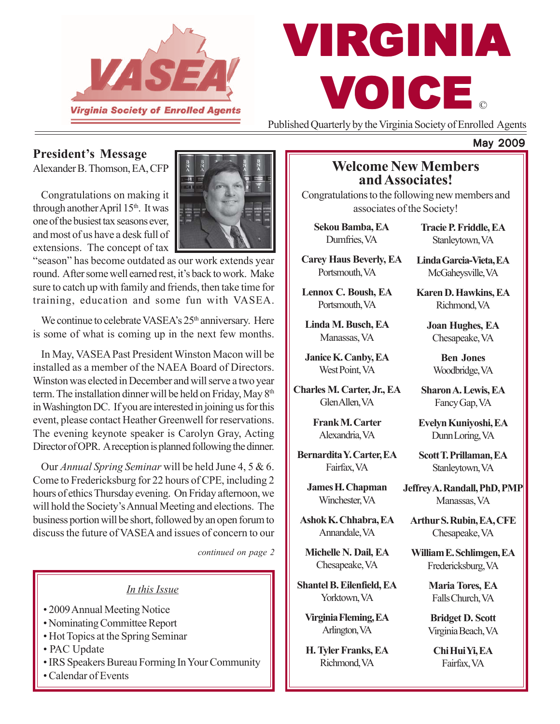

# © VIRGINIA VOICE

Published Quarterly by the Virginia Society of Enrolled Agents

## **President's Message**

Alexander B. Thomson, EA, CFP

Congratulations on making it through another April 15<sup>th</sup>. It was one of the busiest tax seasons ever, and most of us have a desk full of extensions. The concept of tax



"season" has become outdated as our work extends year round. After some well earned rest, it's back to work. Make sure to catch up with family and friends, then take time for training, education and some fun with VASEA.

We continue to celebrate VASEA's 25<sup>th</sup> anniversary. Here is some of what is coming up in the next few months.

In May, VASEA Past President Winston Macon will be installed as a member of the NAEA Board of Directors. Winston was elected in December and will serve a two year term. The installation dinner will be held on Friday, May 8<sup>th</sup> in Washington DC. If you are interested in joining us for this event, please contact Heather Greenwell for reservations. The evening keynote speaker is Carolyn Gray, Acting Director of OPR. A reception is planned following the dinner.

Our *Annual Spring Seminar* will be held June 4, 5 & 6. Come to Fredericksburg for 22 hours of CPE, including 2 hours of ethics Thursday evening. On Friday afternoon, we will hold the Society's Annual Meeting and elections. The business portion will be short, followed by an open forum to discuss the future of VASEA and issues of concern to our

*continued on page 2*

#### *In this Issue*

- 2009 Annual Meeting Notice
- Nominating Committee Report
- Hot Topics at the Spring Seminar
- PAC Update
- IRS Speakers Bureau Forming In Your Community
- Calendar of Events

## **Welcome New Members and Associates!**

Congratulations to the following new members and associates of the Society!

**Sekou Bamba, EA** Dumfries, VA

**Carey Haus Beverly, EA** Portsmouth, VA

**Lennox C. Boush, EA** Portsmouth, VA

**Linda M. Busch, EA** Manassas, VA

**Janice K. Canby, EA** West Point, VA

**Charles M. Carter, Jr., EA** Glen Allen, VA

> **Frank M. Carter** Alexandria, VA

**Bernardita Y. Carter, EA** Fairfax, VA

**James H. Chapman** Winchester, VA

**Ashok K. Chhabra, EA** Annandale, VA

**Michelle N. Dail, EA** Chesapeake, VA

**Shantel B. Eilenfield, EA** Yorktown, VA

**Virginia Fleming, EA** Arlington, VA

**H. Tyler Franks, EA** Richmond, VA

**Tracie P. Friddle, EA** Stanleytown, VA

May 2009

**Linda Garcia-Vieta, EA** McGaheysville, VA

**Karen D. Hawkins, EA** Richmond, VA

**Joan Hughes, EA** Chesapeake, VA

> **Ben Jones** Woodbridge, VA

**Sharon A. Lewis, EA** Fancy Gap, VA

**Evelyn Kuniyoshi, EA** Dunn Loring, VA

**Scott T. Prillaman, EA** Stanleytown, VA

**Jeffrey A. Randall, PhD, PMP** Manassas, VA

**Arthur S. Rubin, EA, CFE** Chesapeake, VA

**William E. Schlimgen, EA** Fredericksburg, VA

> **Maria Tores, EA** Falls Church, VA

> **Bridget D. Scott** Virginia Beach, VA

**Chi Hui Yi, EA** Fairfax, VA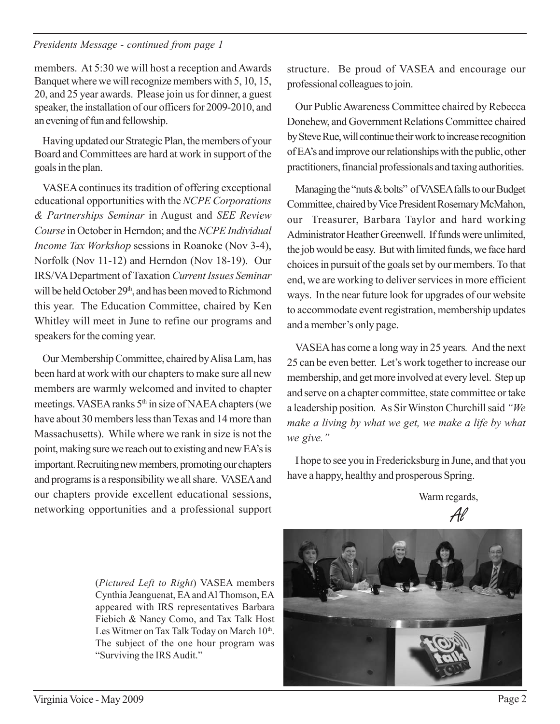#### *Presidents Message - continued from page 1*

members. At 5:30 we will host a reception and Awards Banquet where we will recognize members with 5, 10, 15, 20, and 25 year awards. Please join us for dinner, a guest speaker, the installation of our officers for 2009-2010, and an evening of fun and fellowship.

Having updated our Strategic Plan, the members of your Board and Committees are hard at work in support of the goals in the plan.

VASEA continues its tradition of offering exceptional educational opportunities with the *NCPE Corporations & Partnerships Seminar* in August and *SEE Review Course* in October in Herndon; and the *NCPE Individual Income Tax Workshop* sessions in Roanoke (Nov 3-4), Norfolk (Nov 11-12) and Herndon (Nov 18-19). Our IRS/VA Department of Taxation *Current Issues Seminar* will be held October 29<sup>th</sup>, and has been moved to Richmond this year. The Education Committee, chaired by Ken Whitley will meet in June to refine our programs and speakers for the coming year.

Our Membership Committee, chaired by Alisa Lam, has been hard at work with our chapters to make sure all new members are warmly welcomed and invited to chapter meetings. VASEA ranks 5<sup>th</sup> in size of NAEA chapters (we have about 30 members less than Texas and 14 more than Massachusetts). While where we rank in size is not the point, making sure we reach out to existing and new EA's is important. Recruiting new members, promoting our chapters and programs is a responsibility we all share. VASEA and our chapters provide excellent educational sessions, networking opportunities and a professional support

structure. Be proud of VASEA and encourage our professional colleagues to join.

Our Public Awareness Committee chaired by Rebecca Donehew, and Government Relations Committee chaired by Steve Rue, will continue their work to increase recognition of EA's and improve our relationships with the public, other practitioners, financial professionals and taxing authorities.

Managing the "nuts & bolts" of VASEA falls to our Budget Committee, chaired by Vice President Rosemary McMahon, our Treasurer, Barbara Taylor and hard working Administrator Heather Greenwell. If funds were unlimited, the job would be easy. But with limited funds, we face hard choices in pursuit of the goals set by our members. To that end, we are working to deliver services in more efficient ways. In the near future look for upgrades of our website to accommodate event registration, membership updates and a member's only page.

VASEA has come a long way in 25 years*.* And the next 25 can be even better. Let's work together to increase our membership, and get more involved at every level. Step up and serve on a chapter committee, state committee or take a leadership position*.* As Sir Winston Churchill said *"We make a living by what we get, we make a life by what we give."*

I hope to see you in Fredericksburg in June, and that you have a happy, healthy and prosperous Spring.

Warm regards,

(*Pictured Left to Right*) VASEA members Cynthia Jeanguenat, EA and Al Thomson, EA appeared with IRS representatives Barbara Fiebich & Nancy Como, and Tax Talk Host Les Witmer on Tax Talk Today on March 10<sup>th</sup>. The subject of the one hour program was "Surviving the IRS Audit."

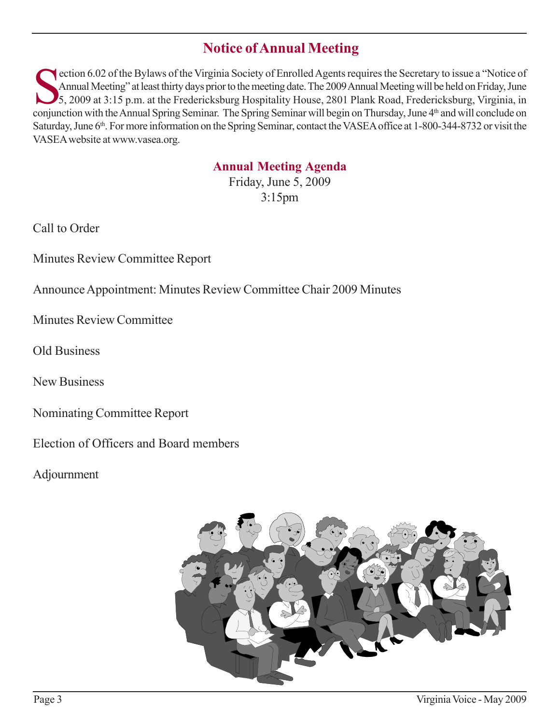# **Notice of Annual Meeting**

ection 6.02 of the Bylaws of the Virginia Society of Enrolled Agents requires the Secretary to issue a "Notice of<br>Annual Meeting" at least thirty days prior to the meeting date. The 2009 Annual Meeting will be held on Frid Annual Meeting" at least thirty days prior to the meeting date. The 2009 Annual Meeting will be held on Friday, June 5, 2009 at 3:15 p.m. at the Fredericksburg Hospitality House, 2801 Plank Road, Fredericksburg, Virginia, in conjunction with the Annual Spring Seminar. The Spring Seminar will begin on Thursday, June 4th and will conclude on Saturday, June 6<sup>th</sup>. For more information on the Spring Seminar, contact the VASEA office at 1-800-344-8732 or visit the VASEA website at www.vasea.org.

## **Annual Meeting Agenda**

Friday, June 5, 2009 3:15pm

Call to Order

Minutes Review Committee Report

Announce Appointment: Minutes Review Committee Chair 2009 Minutes

Minutes Review Committee

Old Business

New Business

Nominating Committee Report

Election of Officers and Board members

Adjournment

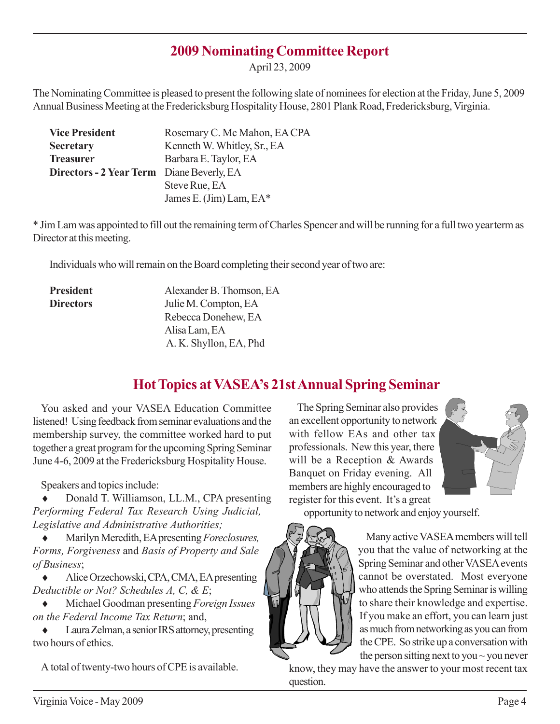## **2009 Nominating Committee Report**

April 23, 2009

The Nominating Committee is pleased to present the following slate of nominees for election at the Friday, June 5, 2009 Annual Business Meeting at the Fredericksburg Hospitality House, 2801 Plank Road, Fredericksburg, Virginia.

| <b>Vice President</b>                     | Rosemary C. Mc Mahon, EA CPA |
|-------------------------------------------|------------------------------|
| <b>Secretary</b>                          | Kenneth W. Whitley, Sr., EA  |
| <b>Treasurer</b>                          | Barbara E. Taylor, EA        |
| Directors - 2 Year Term Diane Beverly, EA |                              |
|                                           | Steve Rue, EA                |
|                                           | James E. (Jim) Lam, $EA^*$   |

\* Jim Lam was appointed to fill out the remaining term of Charles Spencer and will be running for a full two yearterm as Director at this meeting.

Individuals who will remain on the Board completing their second year of two are:

| <b>President</b> | Alexander B. Thomson, EA |
|------------------|--------------------------|
| <b>Directors</b> | Julie M. Compton, EA     |
|                  | Rebecca Donehew, EA      |
|                  | Alisa Lam, EA            |
|                  | A. K. Shyllon, EA, Phd   |

# **Hot Topics at VASEA's 21st Annual Spring Seminar**

You asked and your VASEA Education Committee listened! Using feedback from seminar evaluations and the membership survey, the committee worked hard to put together a great program for the upcoming Spring Seminar June 4-6, 2009 at the Fredericksburg Hospitality House.

Speakers and topics include:

Donald T. Williamson, LL.M., CPA presenting *Performing Federal Tax Research Using Judicial, Legislative and Administrative Authorities;*

♦ Marilyn Meredith, EA presenting *Foreclosures, Forms, Forgiveness* and *Basis of Property and Sale of Business*;

♦ Alice Orzechowski, CPA, CMA, EA presenting *Deductible or Not? Schedules A, C, & E*;

♦ Michael Goodman presenting *Foreign Issues on the Federal Income Tax Return*; and,

♦ Laura Zelman, a senior IRS attorney, presenting two hours of ethics.

A total of twenty-two hours of CPE is available.

The Spring Seminar also provides an excellent opportunity to network with fellow EAs and other tax professionals. New this year, there will be a Reception & Awards Banquet on Friday evening. All members are highly encouraged to register for this event. It's a great



opportunity to network and enjoy yourself.



Many active VASEA members will tell you that the value of networking at the Spring Seminar and other VASEA events cannot be overstated. Most everyone who attends the Spring Seminar is willing to share their knowledge and expertise. If you make an effort, you can learn just as much from networking as you can from the CPE. So strike up a conversation with the person sitting next to you  $\sim$  you never

know, they may have the answer to your most recent tax question.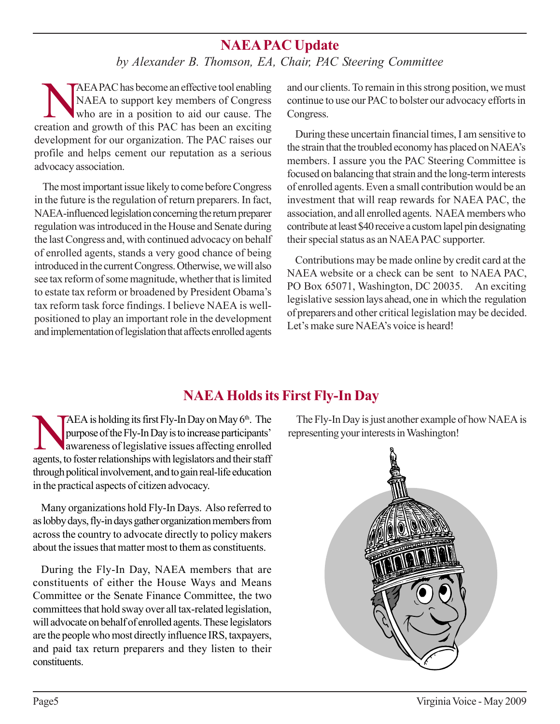# **NAEA PAC Update**

*by Alexander B. Thomson, EA, Chair, PAC Steering Committee*

NAEA PAC has become an effective tool enabling<br>NAEA to support key members of Congress<br>who are in a position to aid our cause. The NAEA to support key members of Congress who are in a position to aid our cause. The creation and growth of this PAC has been an exciting development for our organization. The PAC raises our profile and helps cement our reputation as a serious advocacy association.

The most important issue likely to come before Congress in the future is the regulation of return preparers. In fact, NAEA-influenced legislation concerning the return preparer regulation was introduced in the House and Senate during the last Congress and, with continued advocacy on behalf of enrolled agents, stands a very good chance of being introduced in the current Congress. Otherwise, we will also see tax reform of some magnitude, whether that is limited to estate tax reform or broadened by President Obama's tax reform task force findings. I believe NAEA is wellpositioned to play an important role in the development and implementation of legislation that affects enrolled agents

and our clients. To remain in this strong position, we must continue to use our PAC to bolster our advocacy efforts in Congress.

During these uncertain financial times, I am sensitive to the strain that the troubled economy has placed on NAEA's members. I assure you the PAC Steering Committee is focused on balancing that strain and the long-term interests of enrolled agents. Even a small contribution would be an investment that will reap rewards for NAEA PAC, the association, and all enrolled agents. NAEA members who contribute at least \$40 receive a custom lapel pin designating their special status as an NAEA PAC supporter.

Contributions may be made online by credit card at the NAEA website or a check can be sent to NAEA PAC, PO Box 65071, Washington, DC 20035. An exciting legislative session lays ahead, one in which the regulation of preparers and other critical legislation may be decided. Let's make sure NAEA's voice is heard!

# **NAEA Holds its First Fly-In Day**

AEA is holding its first Fly-In Day on May 6<sup>th</sup>. The<br>purpose of the Fly-In Day is to increase participants'<br>awareness of legislative issues affecting enrolled<br>agents to foster relationships with logislators and their staf purpose of the Fly-In Day is to increase participants' awareness of legislative issues affecting enrolled agents, to foster relationships with legislators and their staff through political involvement, and to gain real-life education in the practical aspects of citizen advocacy.

Many organizations hold Fly-In Days. Also referred to as lobby days, fly-in days gather organization members from across the country to advocate directly to policy makers about the issues that matter most to them as constituents.

During the Fly-In Day, NAEA members that are constituents of either the House Ways and Means Committee or the Senate Finance Committee, the two committees that hold sway over all tax-related legislation, will advocate on behalf of enrolled agents. These legislators are the people who most directly influence IRS, taxpayers, and paid tax return preparers and they listen to their constituents.

The Fly-In Day is just another example of how NAEA is representing your interests in Washington!

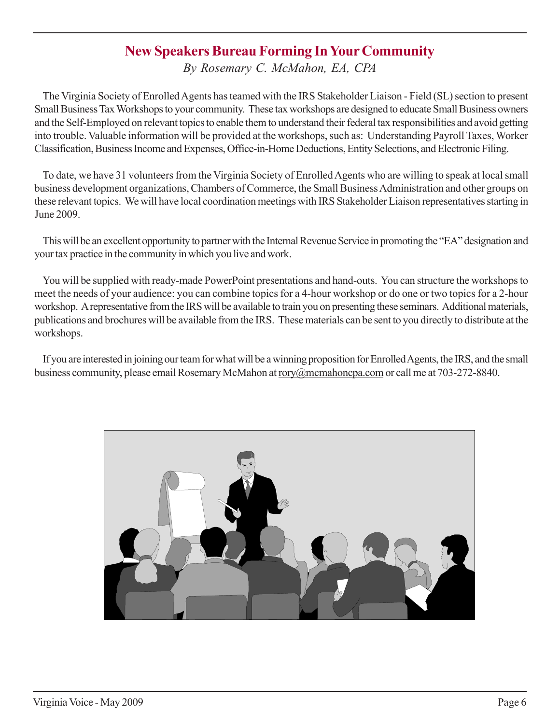# **New Speakers Bureau Forming In Your Community**

*By Rosemary C. McMahon, EA, CPA*

The Virginia Society of Enrolled Agents has teamed with the IRS Stakeholder Liaison - Field (SL) section to present Small Business Tax Workshops to your community. These tax workshops are designed to educate Small Business owners and the Self-Employed on relevant topics to enable them to understand their federal tax responsibilities and avoid getting into trouble. Valuable information will be provided at the workshops, such as: Understanding Payroll Taxes, Worker Classification, Business Income and Expenses, Office-in-Home Deductions, Entity Selections, and Electronic Filing.

To date, we have 31 volunteers from the Virginia Society of Enrolled Agents who are willing to speak at local small business development organizations, Chambers of Commerce, the Small Business Administration and other groups on these relevant topics. We will have local coordination meetings with IRS Stakeholder Liaison representatives starting in June 2009.

This will be an excellent opportunity to partner with the Internal Revenue Service in promoting the "EA" designation and your tax practice in the community in which you live and work.

You will be supplied with ready-made PowerPoint presentations and hand-outs. You can structure the workshops to meet the needs of your audience: you can combine topics for a 4-hour workshop or do one or two topics for a 2-hour workshop. A representative from the IRS will be available to train you on presenting these seminars. Additional materials, publications and brochures will be available from the IRS. These materials can be sent to you directly to distribute at the workshops.

If you are interested in joining our team for what will be a winning proposition for Enrolled Agents, the IRS, and the small business community, please email Rosemary McMahon at rory@mcmahoncpa.com or call me at 703-272-8840.

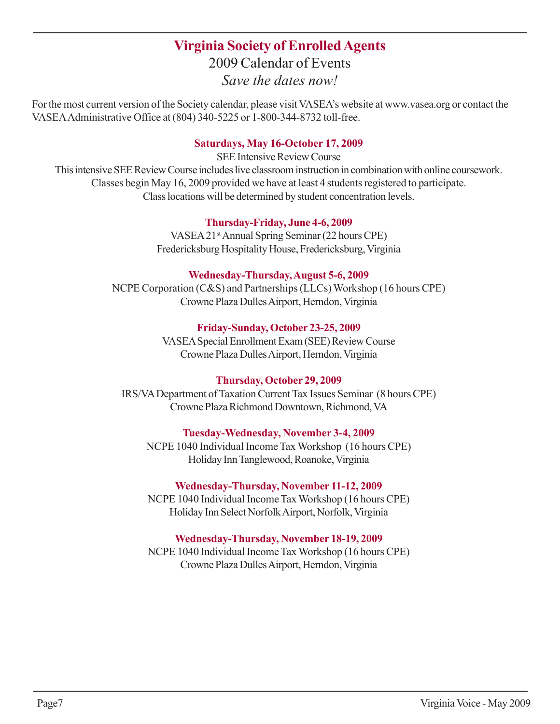# **Virginia Society of Enrolled Agents** 2009 Calendar of Events

*Save the dates now!*

For the most current version of the Society calendar, please visit VASEA's website at www.vasea.org or contact the VASEA Administrative Office at (804) 340-5225 or 1-800-344-8732 toll-free.

#### **Saturdays, May 16-October 17, 2009**

SEE Intensive Review Course This intensive SEE Review Course includes live classroom instruction in combination with online coursework. Classes begin May 16, 2009 provided we have at least 4 students registered to participate. Class locations will be determined by student concentration levels.

#### **Thursday-Friday, June 4-6, 2009**

VASEA 21st Annual Spring Seminar (22 hours CPE) Fredericksburg Hospitality House, Fredericksburg, Virginia

#### **Wednesday-Thursday, August 5-6, 2009**

NCPE Corporation (C&S) and Partnerships (LLCs) Workshop (16 hours CPE) Crowne Plaza Dulles Airport, Herndon, Virginia

## **Friday-Sunday, October 23-25, 2009**

VASEA Special Enrollment Exam (SEE) Review Course Crowne Plaza Dulles Airport, Herndon, Virginia

## **Thursday, October 29, 2009**

IRS/VA Department of Taxation Current Tax Issues Seminar (8 hours CPE) Crowne Plaza Richmond Downtown, Richmond, VA

## **Tuesday-Wednesday, November 3-4, 2009**

NCPE 1040 Individual Income Tax Workshop (16 hours CPE) Holiday Inn Tanglewood, Roanoke, Virginia

## **Wednesday-Thursday, November 11-12, 2009**

NCPE 1040 Individual Income Tax Workshop (16 hours CPE) Holiday Inn Select Norfolk Airport, Norfolk, Virginia

## **Wednesday-Thursday, November 18-19, 2009**

NCPE 1040 Individual Income Tax Workshop (16 hours CPE) Crowne Plaza Dulles Airport, Herndon, Virginia